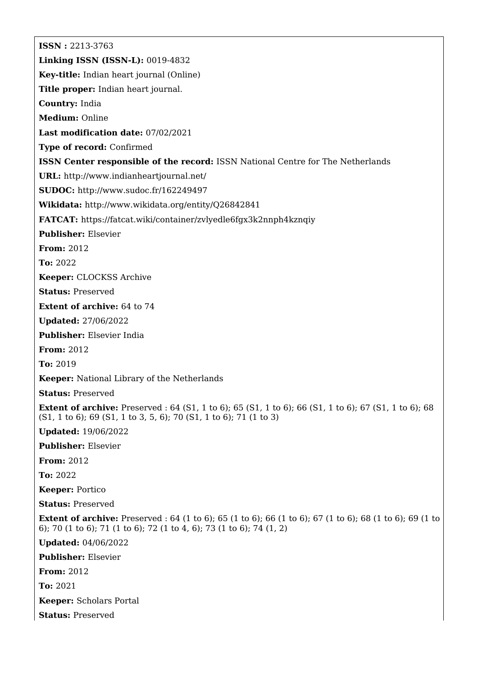**ISSN :** 2213-3763 **Linking ISSN (ISSN-L):** 0019-4832 **Key-title:** Indian heart journal (Online) **Title proper:** Indian heart journal. **Country:** India **Medium:** Online **Last modification date:** 07/02/2021 **Type of record:** Confirmed **ISSN Center responsible of the record:** ISSN National Centre for The Netherlands **URL:** <http://www.indianheartjournal.net/> **SUDOC:** <http://www.sudoc.fr/162249497> **Wikidata:** <http://www.wikidata.org/entity/Q26842841> **FATCAT:** <https://fatcat.wiki/container/zvlyedle6fgx3k2nnph4kznqiy> **Publisher:** Elsevier **From:** 2012 **To:** 2022 **Keeper:** CLOCKSS Archive **Status:** Preserved **Extent of archive:** 64 to 74 **Updated:** 27/06/2022 **Publisher:** Elsevier India **From:** 2012 **To:** 2019 **Keeper:** National Library of the Netherlands **Status:** Preserved **Extent of archive:** Preserved : 64 (S1, 1 to 6); 65 (S1, 1 to 6); 66 (S1, 1 to 6); 67 (S1, 1 to 6); 68 (S1, 1 to 6); 69 (S1, 1 to 3, 5, 6); 70 (S1, 1 to 6); 71 (1 to 3) **Updated:** 19/06/2022 **Publisher:** Elsevier **From:** 2012 **To:** 2022 **Keeper:** Portico **Status:** Preserved **Extent of archive:** Preserved : 64 (1 to 6); 65 (1 to 6); 66 (1 to 6); 67 (1 to 6); 68 (1 to 6); 69 (1 to 6); 70 (1 to 6); 71 (1 to 6); 72 (1 to 4, 6); 73 (1 to 6); 74 (1, 2) **Updated:** 04/06/2022 **Publisher:** Elsevier **From:** 2012 **To:** 2021 **Keeper:** Scholars Portal **Status:** Preserved